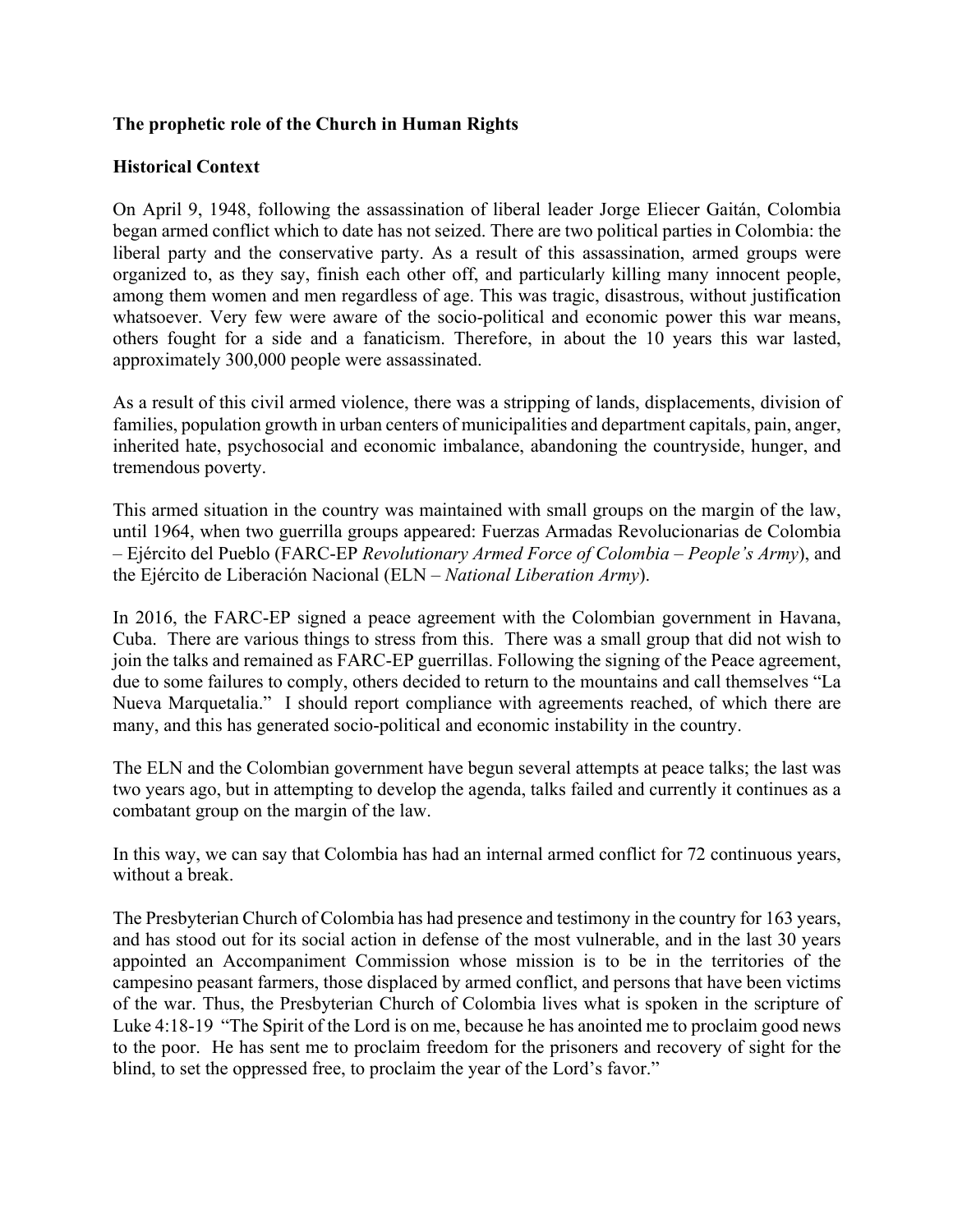## **The prophetic role of the Church in Human Rights**

## **Historical Context**

On April 9, 1948, following the assassination of liberal leader Jorge Eliecer Gaitán, Colombia began armed conflict which to date has not seized. There are two political parties in Colombia: the liberal party and the conservative party. As a result of this assassination, armed groups were organized to, as they say, finish each other off, and particularly killing many innocent people, among them women and men regardless of age. This was tragic, disastrous, without justification whatsoever. Very few were aware of the socio-political and economic power this war means, others fought for a side and a fanaticism. Therefore, in about the 10 years this war lasted, approximately 300,000 people were assassinated.

As a result of this civil armed violence, there was a stripping of lands, displacements, division of families, population growth in urban centers of municipalities and department capitals, pain, anger, inherited hate, psychosocial and economic imbalance, abandoning the countryside, hunger, and tremendous poverty.

This armed situation in the country was maintained with small groups on the margin of the law, until 1964, when two guerrilla groups appeared: Fuerzas Armadas Revolucionarias de Colombia – Ejército del Pueblo (FARC-EP *Revolutionary Armed Force of Colombia – People's Army*), and the Ejército de Liberación Nacional (ELN – *National Liberation Army*).

In 2016, the FARC-EP signed a peace agreement with the Colombian government in Havana, Cuba. There are various things to stress from this. There was a small group that did not wish to join the talks and remained as FARC-EP guerrillas. Following the signing of the Peace agreement, due to some failures to comply, others decided to return to the mountains and call themselves "La Nueva Marquetalia." I should report compliance with agreements reached, of which there are many, and this has generated socio-political and economic instability in the country.

The ELN and the Colombian government have begun several attempts at peace talks; the last was two years ago, but in attempting to develop the agenda, talks failed and currently it continues as a combatant group on the margin of the law.

In this way, we can say that Colombia has had an internal armed conflict for 72 continuous years, without a break.

The Presbyterian Church of Colombia has had presence and testimony in the country for 163 years, and has stood out for its social action in defense of the most vulnerable, and in the last 30 years appointed an Accompaniment Commission whose mission is to be in the territories of the campesino peasant farmers, those displaced by armed conflict, and persons that have been victims of the war. Thus, the Presbyterian Church of Colombia lives what is spoken in the scripture of Luke 4:18-19 "The Spirit of the Lord is on me, because he has anointed me to proclaim good news to the poor. He has sent me to proclaim freedom for the prisoners and recovery of sight for the blind, to set the oppressed free, to proclaim the year of the Lord's favor."